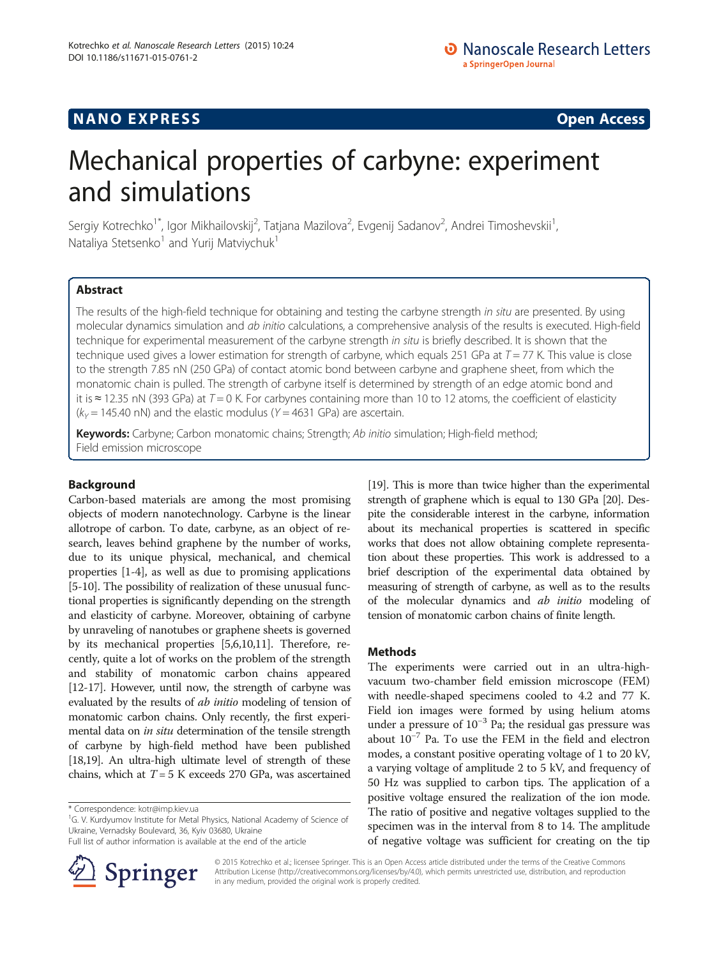## **NANO EXPRESS** CONSTRUCTION CONTINUES AND ACCESS COPEN ACCESS COPEN ACCESS COPEN ACCESS COPEN ACCESS COPEN ACCESS

# Mechanical properties of carbyne: experiment and simulations

Sergiy Kotrechko<sup>1\*</sup>, Igor Mikhailovskij<sup>2</sup>, Tatjana Mazilova<sup>2</sup>, Evgenij Sadanov<sup>2</sup>, Andrei Timoshevskii<sup>1</sup> , Nataliya Stetsenko<sup>1</sup> and Yurij Matviychuk<sup>1</sup>

## Abstract

The results of the high-field technique for obtaining and testing the carbyne strength in situ are presented. By using molecular dynamics simulation and ab initio calculations, a comprehensive analysis of the results is executed. High-field technique for experimental measurement of the carbyne strength in situ is briefly described. It is shown that the technique used gives a lower estimation for strength of carbyne, which equals 251 GPa at  $T = 77$  K. This value is close to the strength 7.85 nN (250 GPa) of contact atomic bond between carbyne and graphene sheet, from which the monatomic chain is pulled. The strength of carbyne itself is determined by strength of an edge atomic bond and it is ≈ 12.35 nN (393 GPa) at  $T = 0$  K. For carbynes containing more than 10 to 12 atoms, the coefficient of elasticity  $(k<sub>Y</sub> = 145.40 \text{ nN})$  and the elastic modulus (Y = 4631 GPa) are ascertain.

Keywords: Carbyne; Carbon monatomic chains; Strength; Ab initio simulation; High-field method; Field emission microscope

## Background

Carbon-based materials are among the most promising objects of modern nanotechnology. Carbyne is the linear allotrope of carbon. To date, carbyne, as an object of research, leaves behind graphene by the number of works, due to its unique physical, mechanical, and chemical properties [[1-4\]](#page-4-0), as well as due to promising applications [[5-10\]](#page-4-0). The possibility of realization of these unusual functional properties is significantly depending on the strength and elasticity of carbyne. Moreover, obtaining of carbyne by unraveling of nanotubes or graphene sheets is governed by its mechanical properties [\[5,6,10,11](#page-4-0)]. Therefore, recently, quite a lot of works on the problem of the strength and stability of monatomic carbon chains appeared [[12](#page-4-0)-[17\]](#page-4-0). However, until now, the strength of carbyne was evaluated by the results of ab initio modeling of tension of monatomic carbon chains. Only recently, the first experimental data on in situ determination of the tensile strength of carbyne by high-field method have been published [[18](#page-4-0)[,19\]](#page-5-0). An ultra-high ultimate level of strength of these chains, which at  $T = 5$  K exceeds 270 GPa, was ascertained

<sup>1</sup>G. V. Kurdyumov Institute for Metal Physics, National Academy of Science of Ukraine, Vernadsky Boulevard, 36, Kyiv 03680, Ukraine

Full list of author information is available at the end of the article



[[19](#page-5-0)]. This is more than twice higher than the experimental strength of graphene which is equal to 130 GPa [\[20\]](#page-5-0). Despite the considerable interest in the carbyne, information about its mechanical properties is scattered in specific works that does not allow obtaining complete representation about these properties. This work is addressed to a brief description of the experimental data obtained by measuring of strength of carbyne, as well as to the results of the molecular dynamics and ab initio modeling of tension of monatomic carbon chains of finite length.

## Methods

The experiments were carried out in an ultra-highvacuum two-chamber field emission microscope (FEM) with needle-shaped specimens cooled to 4.2 and 77 K. Field ion images were formed by using helium atoms under a pressure of  $10^{-3}$  Pa; the residual gas pressure was about 10−<sup>7</sup> Pa. To use the FEM in the field and electron modes, a constant positive operating voltage of 1 to 20 kV, a varying voltage of amplitude 2 to 5 kV, and frequency of 50 Hz was supplied to carbon tips. The application of a positive voltage ensured the realization of the ion mode. The ratio of positive and negative voltages supplied to the specimen was in the interval from 8 to 14. The amplitude of negative voltage was sufficient for creating on the tip

© 2015 Kotrechko et al.; licensee Springer. This is an Open Access article distributed under the terms of the Creative Commons Attribution License [\(http://creativecommons.org/licenses/by/4.0\)](http://creativecommons.org/licenses/by/4.0), which permits unrestricted use, distribution, and reproduction in any medium, provided the original work is properly credited.

<sup>\*</sup> Correspondence: [kotr@imp.kiev.ua](mailto:kotr@imp.kiev.ua) <sup>1</sup>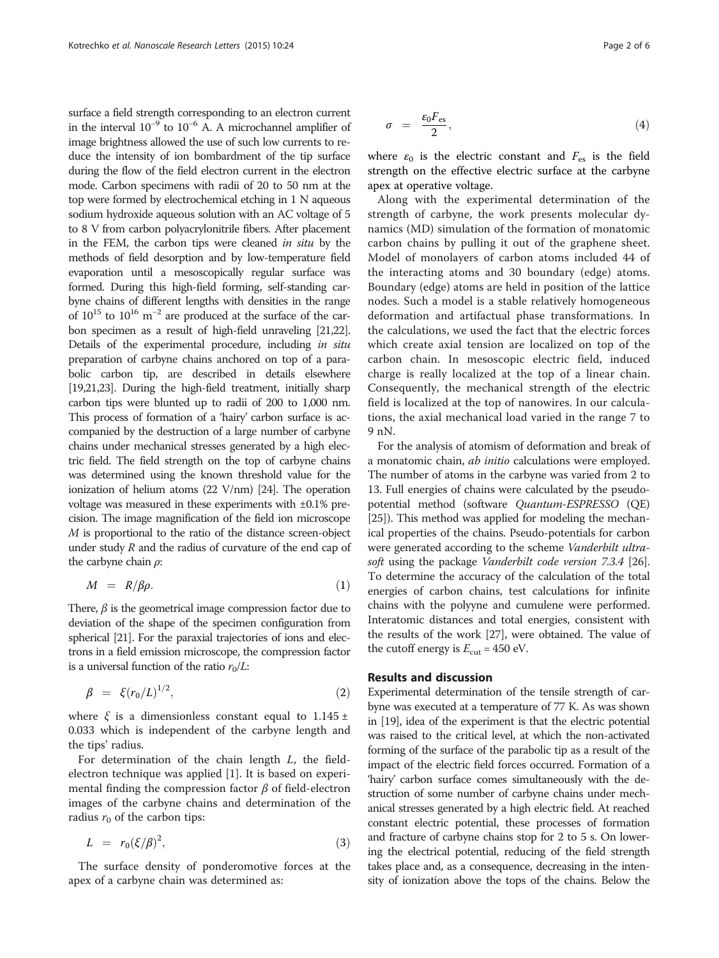<span id="page-1-0"></span>surface a field strength corresponding to an electron current in the interval  $10^{-9}$  to  $10^{-6}$  A. A microchannel amplifier of image brightness allowed the use of such low currents to reduce the intensity of ion bombardment of the tip surface during the flow of the field electron current in the electron mode. Carbon specimens with radii of 20 to 50 nm at the top were formed by electrochemical etching in 1 N aqueous sodium hydroxide aqueous solution with an AC voltage of 5 to 8 V from carbon polyacrylonitrile fibers. After placement in the FEM, the carbon tips were cleaned in situ by the methods of field desorption and by low-temperature field evaporation until a mesoscopically regular surface was formed. During this high-field forming, self-standing carbyne chains of different lengths with densities in the range of  $10^{15}$  to  $10^{16}$  m<sup>-2</sup> are produced at the surface of the carbon specimen as a result of high-field unraveling [\[21,22\]](#page-5-0). Details of the experimental procedure, including in situ preparation of carbyne chains anchored on top of a parabolic carbon tip, are described in details elsewhere [[19,21,23](#page-5-0)]. During the high-field treatment, initially sharp carbon tips were blunted up to radii of 200 to 1,000 nm. This process of formation of a 'hairy' carbon surface is accompanied by the destruction of a large number of carbyne chains under mechanical stresses generated by a high electric field. The field strength on the top of carbyne chains was determined using the known threshold value for the ionization of helium atoms (22 V/nm) [\[24\]](#page-5-0). The operation voltage was measured in these experiments with ±0.1% precision. The image magnification of the field ion microscope M is proportional to the ratio of the distance screen-object under study  $R$  and the radius of curvature of the end cap of the carbyne chain  $\rho$ :

$$
M = R/\beta \rho. \tag{1}
$$

There,  $\beta$  is the geometrical image compression factor due to deviation of the shape of the specimen configuration from spherical [\[21](#page-5-0)]. For the paraxial trajectories of ions and electrons in a field emission microscope, the compression factor is a universal function of the ratio  $r_0/L$ :

$$
\beta = \xi(r_0/L)^{1/2},\tag{2}
$$

where  $\xi$  is a dimensionless constant equal to 1.145 ± 0.033 which is independent of the carbyne length and the tips' radius.

For determination of the chain length L, the fieldelectron technique was applied [\[1](#page-4-0)]. It is based on experimental finding the compression factor  $\beta$  of field-electron images of the carbyne chains and determination of the radius  $r_0$  of the carbon tips:

$$
L = r_0 (\xi/\beta)^2, \tag{3}
$$

The surface density of ponderomotive forces at the apex of a carbyne chain was determined as:

$$
\sigma = \frac{\varepsilon_0 F_{\text{es}}}{2},\tag{4}
$$

where  $\varepsilon_0$  is the electric constant and  $F_{\text{es}}$  is the field strength on the effective electric surface at the carbyne apex at operative voltage.

Along with the experimental determination of the strength of carbyne, the work presents molecular dynamics (MD) simulation of the formation of monatomic carbon chains by pulling it out of the graphene sheet. Model of monolayers of carbon atoms included 44 of the interacting atoms and 30 boundary (edge) atoms. Boundary (edge) atoms are held in position of the lattice nodes. Such a model is a stable relatively homogeneous deformation and artifactual phase transformations. In the calculations, we used the fact that the electric forces which create axial tension are localized on top of the carbon chain. In mesoscopic electric field, induced charge is really localized at the top of a linear chain. Consequently, the mechanical strength of the electric field is localized at the top of nanowires. In our calculations, the axial mechanical load varied in the range 7 to 9 nN.

For the analysis of atomism of deformation and break of a monatomic chain, *ab initio* calculations were employed. The number of atoms in the carbyne was varied from 2 to 13. Full energies of chains were calculated by the pseudopotential method (software Quantum-ESPRESSO (QE) [[25](#page-5-0)]). This method was applied for modeling the mechanical properties of the chains. Pseudo-potentials for carbon were generated according to the scheme Vanderbilt ultrasoft using the package Vanderbilt code version 7.3.4 [[26](#page-5-0)]. To determine the accuracy of the calculation of the total energies of carbon chains, test calculations for infinite chains with the polyyne and cumulene were performed. Interatomic distances and total energies, consistent with the results of the work [\[27\]](#page-5-0), were obtained. The value of the cutoff energy is  $E_{\text{cut}}$  = 450 eV.

### Results and discussion

Experimental determination of the tensile strength of carbyne was executed at a temperature of 77 K. As was shown in [[19](#page-5-0)], idea of the experiment is that the electric potential was raised to the critical level, at which the non-activated forming of the surface of the parabolic tip as a result of the impact of the electric field forces occurred. Formation of a 'hairy' carbon surface comes simultaneously with the destruction of some number of carbyne chains under mechanical stresses generated by a high electric field. At reached constant electric potential, these processes of formation and fracture of carbyne chains stop for 2 to 5 s. On lowering the electrical potential, reducing of the field strength takes place and, as a consequence, decreasing in the intensity of ionization above the tops of the chains. Below the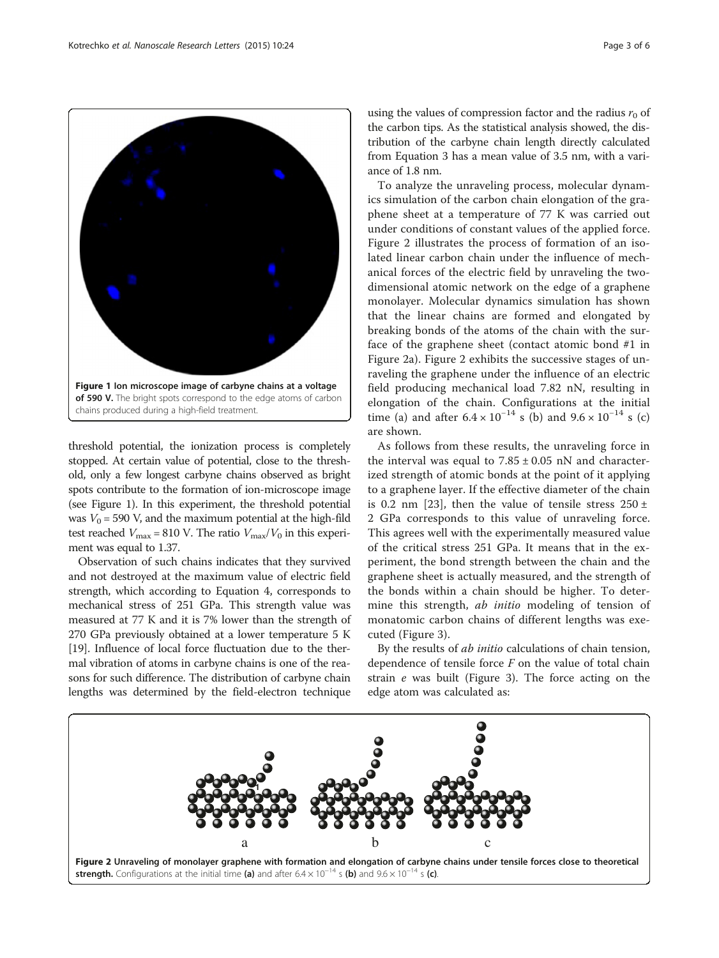threshold potential, the ionization process is completely stopped. At certain value of potential, close to the threshold, only a few longest carbyne chains observed as bright spots contribute to the formation of ion-microscope image (see Figure 1). In this experiment, the threshold potential was  $V_0$  = 590 V, and the maximum potential at the high-fild test reached  $V_{\text{max}} = 810$  V. The ratio  $V_{\text{max}}/V_0$  in this experiment was equal to 1.37.

Observation of such chains indicates that they survived and not destroyed at the maximum value of electric field strength, which according to Equation [4,](#page-1-0) corresponds to mechanical stress of 251 GPa. This strength value was measured at 77 K and it is 7% lower than the strength of 270 GPa previously obtained at a lower temperature 5 K [[19](#page-5-0)]. Influence of local force fluctuation due to the thermal vibration of atoms in carbyne chains is one of the reasons for such difference. The distribution of carbyne chain lengths was determined by the field-electron technique

**1**

using the values of compression factor and the radius  $r_0$  of the carbon tips. As the statistical analysis showed, the distribution of the carbyne chain length directly calculated from Equation [3](#page-1-0) has a mean value of 3.5 nm, with a variance of 1.8 nm.

To analyze the unraveling process, molecular dynamics simulation of the carbon chain elongation of the graphene sheet at a temperature of 77 K was carried out under conditions of constant values of the applied force. Figure 2 illustrates the process of formation of an isolated linear carbon chain under the influence of mechanical forces of the electric field by unraveling the twodimensional atomic network on the edge of a graphene monolayer. Molecular dynamics simulation has shown that the linear chains are formed and elongated by breaking bonds of the atoms of the chain with the surface of the graphene sheet (contact atomic bond #1 in Figure 2a). Figure 2 exhibits the successive stages of unraveling the graphene under the influence of an electric field producing mechanical load 7.82 nN, resulting in elongation of the chain. Configurations at the initial time (a) and after  $6.4 \times 10^{-14}$  s (b) and  $9.6 \times 10^{-14}$  s (c) are shown.

As follows from these results, the unraveling force in the interval was equal to  $7.85 \pm 0.05$  nN and characterized strength of atomic bonds at the point of it applying to a graphene layer. If the effective diameter of the chain is 0.2 nm [\[23](#page-5-0)], then the value of tensile stress  $250 \pm$ 2 GPa corresponds to this value of unraveling force. This agrees well with the experimentally measured value of the critical stress 251 GPa. It means that in the experiment, the bond strength between the chain and the graphene sheet is actually measured, and the strength of the bonds within a chain should be higher. To determine this strength, *ab initio* modeling of tension of monatomic carbon chains of different lengths was executed (Figure [3\)](#page-3-0).

By the results of ab initio calculations of chain tension, dependence of tensile force  $F$  on the value of total chain strain e was built (Figure [3](#page-3-0)). The force acting on the edge atom was calculated as:



a b c

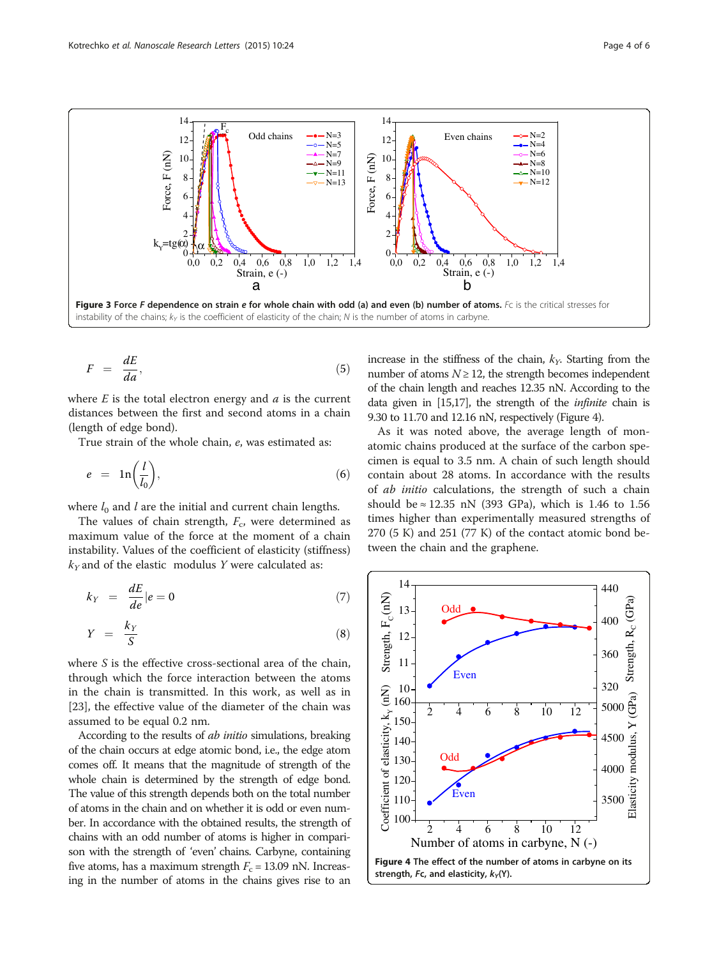<span id="page-3-0"></span>

$$
F = \frac{dE}{da},\tag{5}
$$

where  $E$  is the total electron energy and  $a$  is the current distances between the first and second atoms in a chain (length of edge bond).

True strain of the whole chain, е, was estimated as:

$$
e = \ln\left(\frac{l}{l_0}\right),\tag{6}
$$

where  $l_0$  and  $l$  are the initial and current chain lengths.

The values of chain strength,  $F_c$ , were determined as maximum value of the force at the moment of a chain instability. Values of the coefficient of elasticity (stiffness)  $k_Y$  and of the elastic modulus Y were calculated as:

$$
k_Y = \frac{dE}{de}|e = 0 \tag{7}
$$

$$
Y = \frac{k_Y}{S} \tag{8}
$$

where S is the effective cross-sectional area of the chain, through which the force interaction between the atoms in the chain is transmitted. In this work, as well as in [[23\]](#page-5-0), the effective value of the diameter of the chain was assumed to be equal 0.2 nm.

According to the results of *ab initio* simulations, breaking of the chain occurs at edge atomic bond, i.e., the edge atom comes off. It means that the magnitude of strength of the whole chain is determined by the strength of edge bond. The value of this strength depends both on the total number of atoms in the chain and on whether it is odd or even number. In accordance with the obtained results, the strength of chains with an odd number of atoms is higher in comparison with the strength of 'even' chains. Carbyne, containing five atoms, has a maximum strength  $F_c = 13.09$  nN. Increasing in the number of atoms in the chains gives rise to an increase in the stiffness of the chain,  $k<sub>y</sub>$ . Starting from the number of atoms  $N \ge 12$ , the strength becomes independent of the chain length and reaches 12.35 nN. According to the data given in [\[15,17](#page-4-0)], the strength of the infinite chain is 9.30 to 11.70 and 12.16 nN, respectively (Figure 4).

As it was noted above, the average length of monatomic chains produced at the surface of the carbon specimen is equal to 3.5 nm. A chain of such length should contain about 28 atoms. In accordance with the results of ab initio calculations, the strength of such a chain should be  $\approx$  12.35 nN (393 GPa), which is 1.46 to 1.56 times higher than experimentally measured strengths of  $270$  (5 K) and  $251$  (77 K) of the contact atomic bond between the chain and the graphene.

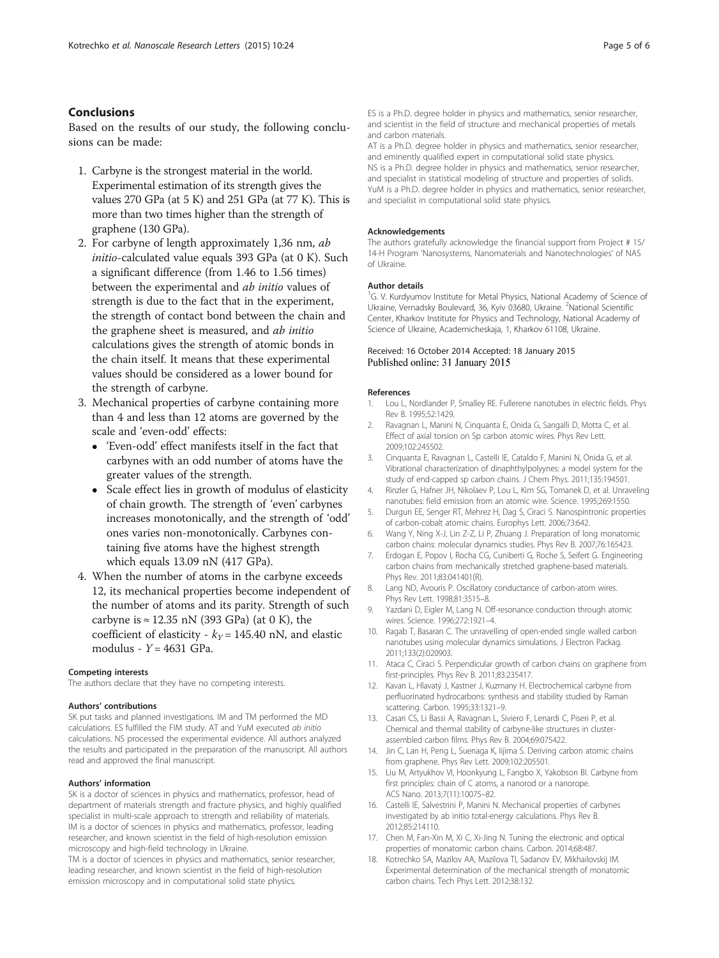## <span id="page-4-0"></span>Conclusions

Based on the results of our study, the following conclusions can be made:

- 1. Carbyne is the strongest material in the world. Experimental estimation of its strength gives the values 270 GPа (at 5 K) and 251 GPa (at 77 K). This is more than two times higher than the strength of graphene (130 GPа).
- 2. For carbyne of length approximately 1,36 nm, ab initio-calculated value equals 393 GPа (at 0 K). Such a significant difference (from 1.46 to 1.56 times) between the experimental and ab initio values of strength is due to the fact that in the experiment, the strength of contact bond between the chain and the graphene sheet is measured, and ab initio calculations gives the strength of atomic bonds in the chain itself. It means that these experimental values should be considered as a lower bound for the strength of carbyne.
- 3. Mechanical properties of carbyne containing more than 4 and less than 12 atoms are governed by the scale and 'even-odd' effects:
	- 'Even-odd' effect manifests itself in the fact that carbynes with an odd number of atoms have the greater values of the strength.
	- Scale effect lies in growth of modulus of elasticity of chain growth. The strength of 'even' carbynes increases monotonically, and the strength of 'odd' ones varies non-monotonically. Carbynes containing five atoms have the highest strength which equals 13.09 nN (417 GPa).
- 4. When the number of atoms in the carbyne exceeds 12, its mechanical properties become independent of the number of atoms and its parity. Strength of such carbyne is  $\approx$  12.35 nN (393 GPa) (at 0 K), the coefficient of elasticity -  $k_y = 145.40$  nN, and elastic modulus -  $Y = 4631$  GPa.

#### Competing interests

The authors declare that they have no competing interests.

#### Authors' contributions

SK put tasks and planned investigations. IM and TM performed the MD calculations. ES fulfilled the FIM study. АТ and YuM executed ab initio calculations. NS processed the experimental evidence. All authors analyzed the results and participated in the preparation of the manuscript. All authors read and approved the final manuscript.

#### Authors' information

SK is a doctor of sciences in physics and mathematics, professor, head of department of materials strength and fracture physics, and highly qualified specialist in multi-scale approach to strength and reliability of materials. IM is a doctor of sciences in physics and mathematics, professor, leading researcher, and known scientist in the field of high-resolution emission microscopy and high-field technology in Ukraine.

TM is a doctor of sciences in physics and mathematics, senior researcher, leading researcher, and known scientist in the field of high-resolution emission microscopy and in computational solid state physics.

ES is a Ph.D. degree holder in physics and mathematics, senior researcher, and scientist in the field of structure and mechanical properties of metals and carbon materials.

AT is a Ph.D. degree holder in physics and mathematics, senior researcher, and eminently qualified expert in computational solid state physics. NS is a Ph.D. degree holder in physics and mathematics, senior researcher, and specialist in statistical modeling of structure and properties of solids. YuM is a Ph.D. degree holder in physics and mathematics, senior researcher, and specialist in computational solid state physics.

#### Acknowledgements

The authors gratefully acknowledge the financial support from Project # 15/ 14-Н Program 'Nanosystems, Nanomaterials and Nanotechnologies' of NAS of Ukraine.

#### Author details

<sup>1</sup>G. V. Kurdyumov Institute for Metal Physics, National Academy of Science of Ukraine, Vernadsky Boulevard, 36, Kyiv 03680, Ukraine. <sup>2</sup>National Scientific Center, Kharkov Institute for Physics and Technology, National Academy of Science of Ukraine, Academicheskaja, 1, Kharkov 61108, Ukraine.

#### Received: 16 October 2014 Accepted: 18 January 2015 Published online: 31 January 2015

#### References

- 1. Lou L, Nordlander P, Smalley RE. Fullerene nanotubes in electric fields. Phys Rev B. 1995;52:1429.
- 2. Ravagnan L, Manini N, Cinquanta E, Onida G, Sangalli D, Motta C, et al. Effect of axial torsion on Sp carbon atomic wires. Phys Rev Lett. 2009;102:245502.
- 3. Cinquanta E, Ravagnan L, Castelli IE, Cataldo F, Manini N, Onida G, et al. Vibrational characterization of dinaphthylpolyynes: a model system for the study of end-capped sp carbon chains. J Chem Phys. 2011;135:194501.
- 4. Rinzler G, Hafner JH, Nikolaev P, Lou L, Kim SG, Tomanek D, et al. Unraveling nanotubes: field emission from an atomic wire. Science. 1995;269:1550.
- 5. Durgun EE, Senger RT, Mehrez H, Dag S, Ciraci S. Nanospintronic properties of carbon-cobalt atomic chains. Europhys Lett. 2006;73:642.
- 6. Wang Y, Ning X-J, Lin Z-Z, Li P, Zhuang J. Preparation of long monatomic carbon chains: molecular dynamics studies. Phys Rev B. 2007;76:165423.
- 7. Erdogan E, Popov I, Rocha CG, Cuniberti G, Roche S, Seifert G. Engineering carbon chains from mechanically stretched graphene-based materials. Phys Rev. 2011;83:041401(R).
- 8. Lang ND, Avouris P. Oscillatory conductance of carbon-atom wires. Phys Rev Lett. 1998;81:3515–8.
- 9. Yazdani D, Eigler M, Lang N. Off-resonance conduction through atomic wires. Science. 1996;272:1921–4.
- 10. Ragab T, Basaran C. The unravelling of open-ended single walled carbon nanotubes using molecular dynamics simulations. J Electron Packag. 2011;133(2):020903.
- 11. Ataca C, Ciraci S. Perpendicular growth of carbon chains on graphene from first-principles. Phys Rev B. 2011;83:235417.
- 12. Kavan L, Hlavatý J, Kastner J, Kuzmany H. Electrochemical carbyne from perfluorinated hydrocarbons: synthesis and stability studied by Raman scattering. Carbon. 1995;33:1321–9.
- 13. Casari CS, Li Bassi A, Ravagnan L, Siviero F, Lenardi C, Piseri P, et al. Chemical and thermal stability of carbyne-like structures in clusterassembled carbon films. Phys Rev B. 2004;69:075422.
- 14. Jin C, Lan H, Peng L, Suenaga K, Iijima S. Deriving carbon atomic chains from graphene. Phys Rev Lett. 2009;102:205501.
- 15. Liu M, Artyukhov VI, Hoonkyung L, Fangbo X, Yakobson BI. Carbyne from first principles: chain of C atoms, a nanorod or a nanorope. ACS Nano. 2013;7(11):10075–82.
- 16. Castelli IE, Salvestrini P, Manini N. Mechanical properties of carbynes investigated by ab initio total-energy calculations. Phys Rev B. 2012;85:214110.
- 17. Chen M, Fan-Xin M, Xi C, Xi-Jing N. Tuning the electronic and optical properties of monatomic carbon chains. Carbon. 2014;68:487.
- 18. Kotrechko SA, Mazilov AA, Mazilova TI, Sadanov EV, Mikhailovskij IM. Experimental determination of the mechanical strength of monatomic carbon chains. Tech Phys Lett. 2012;38:132.